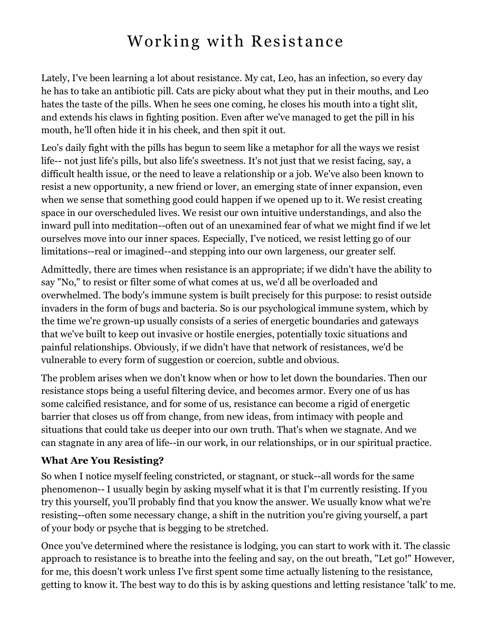## Working with Resistance

Lately, I've been learning a lot about resistance. My cat, Leo, has an infection, so every day he has to take an antibiotic pill. Cats are picky about what they put in their mouths, and Leo hates the taste of the pills. When he sees one coming, he closes his mouth into a tight slit, and extends his claws in fighting position. Even after we've managed to get the pill in his mouth, he'll often hide it in his cheek, and then spit it out.

Leo's daily fight with the pills has begun to seem like a metaphor for all the ways we resist life-- not just life's pills, but also life's sweetness. It's not just that we resist facing, say, a difficult health issue, or the need to leave a relationship or a job. We've also been known to resist a new opportunity, a new friend or lover, an emerging state of inner expansion, even when we sense that something good could happen if we opened up to it. We resist creating space in our overscheduled lives. We resist our own intuitive understandings, and also the inward pull into meditation--often out of an unexamined fear of what we might find if we let ourselves move into our inner spaces. Especially, I've noticed, we resist letting go of our limitations--real or imagined--and stepping into our own largeness, our greater self.

Admittedly, there are times when resistance is an appropriate; if we didn't have the ability to say "No," to resist or filter some of what comes at us, we'd all be overloaded and overwhelmed. The body's immune system is built precisely for this purpose: to resist outside invaders in the form of bugs and bacteria. So is our psychological immune system, which by the time we're grown-up usually consists of a series of energetic boundaries and gateways that we've built to keep out invasive or hostile energies, potentially toxic situations and painful relationships. Obviously, if we didn't have that network of resistances, we'd be vulnerable to every form of suggestion or coercion, subtle and obvious.

The problem arises when we don't know when or how to let down the boundaries. Then our resistance stops being a useful filtering device, and becomes armor. Every one of us has some calcified resistance, and for some of us, resistance can become a rigid of energetic barrier that closes us off from change, from new ideas, from intimacy with people and situations that could take us deeper into our own truth. That's when we stagnate. And we can stagnate in any area of life--in our work, in our relationships, or in our spiritual practice.

## **What Are You Resisting?**

So when I notice myself feeling constricted, or stagnant, or stuck--all words for the same phenomenon-- I usually begin by asking myself what it is that I'm currently resisting. If you try this yourself, you'll probably find that you know the answer. We usually know what we're resisting--often some necessary change, a shift in the nutrition you're giving yourself, a part of your body or psyche that is begging to be stretched.

Once you've determined where the resistance is lodging, you can start to work with it. The classic approach to resistance is to breathe into the feeling and say, on the out breath, "Let go!" However, for me, this doesn't work unless I've first spent some time actually listening to the resistance, getting to know it. The best way to do this is by asking questions and letting resistance 'talk' to me.